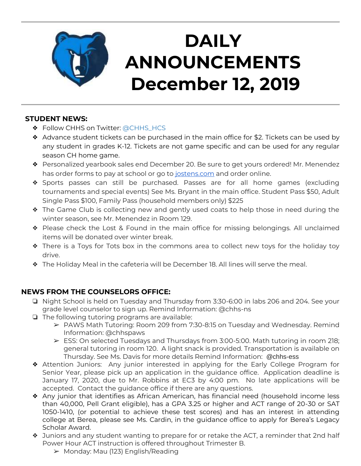

# **DAILY ANNOUNCEMENTS December 12, 2019**

### **STUDENT NEWS:**

- ❖ Follow CHHS on Twitter: [@CHHS\\_HCS](https://twitter.com/CHHS_HCS)
- ❖ Advance student tickets can be purchased in the main office for \$2. Tickets can be used by any student in grades K-12. Tickets are not game specific and can be used for any regular season CH home game.
- ❖ Personalized yearbook sales end December 20. Be sure to get yours ordered! Mr. Menendez has order forms to pay at school or go to [jostens.com](http://jostens.com/) and order online.
- ❖ Sports passes can still be purchased. Passes are for all home games (excluding tournaments and special events) See Ms. Bryant in the main office. Student Pass \$50, Adult Single Pass \$100, Family Pass (household members only) \$225
- ❖ The Game Club is collecting new and gently used coats to help those in need during the winter season, see Mr. Menendez in Room 129.
- ❖ Please check the Lost & Found in the main office for missing belongings. All unclaimed items will be donated over winter break.
- ❖ There is a Toys for Tots box in the commons area to collect new toys for the holiday toy drive.
- ❖ The Holiday Meal in the cafeteria will be December 18. All lines will serve the meal.

#### **NEWS FROM THE COUNSELORS OFFICE:**

- ❏ Night School is held on Tuesday and Thursday from 3:30-6:00 in labs 206 and 204. See your grade level counselor to sign up. Remind Information: @chhs-ns
- ❏ The following tutoring programs are available:
	- $\triangleright$  PAWS Math Tutoring: Room 209 from 7:30-8:15 on Tuesday and Wednesday. Remind Information: @chhspaws
	- ➢ ESS: On selected Tuesdays and Thursdays from 3:00-5:00. Math tutoring in room 218; general tutoring in room 120. A light snack is provided. Transportation is available on Thursday. See Ms. Davis for more details Remind Information: @chhs-ess
- ❖ Attention Juniors: Any junior interested in applying for the Early College Program for Senior Year, please pick up an application in the guidance office. Application deadline is January 17, 2020, due to Mr. Robbins at EC3 by 4:00 pm. No late applications will be accepted. Contact the guidance office if there are any questions.
- ❖ Any junior that identifies as African American, has financial need (household income less than 40,000, Pell Grant eligible), has a GPA 3.25 or higher and ACT range of 20-30 or SAT 1050-1410, (or potential to achieve these test scores) and has an interest in attending college at Berea, please see Ms. Cardin, in the guidance office to apply for Berea's Legacy Scholar Award.
- ❖ Juniors and any student wanting to prepare for or retake the ACT, a reminder that 2nd half Power Hour ACT instruction is offered throughout Trimester B.
	- $\triangleright$  Monday: Mau (123) English/Reading